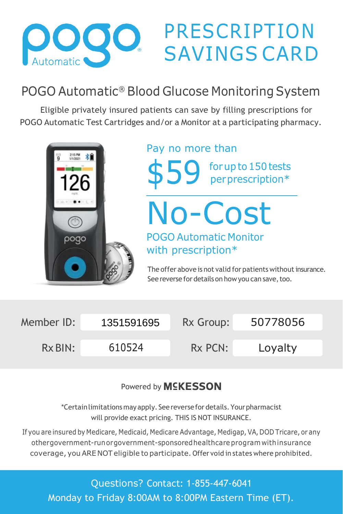

## PRESCRIPTION SAVINGS CARD

## POGO Automatic® Blood Glucose Monitoring System

Eligible privately insured patients can save by filling prescriptions for POGO Automatic Test Cartridges and/or a Monitor at a participating pharmacy.



## Pay no more than

forup to150tests \$59 for up to 150 tests<br>
per prescription\*

No-Cost POGO Automatic Monitor with prescription\*

The offer above is not valid for patients without insurance. See reverse for details on how you can save, too.

| Member ID: | 1351591695 | Rx Group: | 50778056 |
|------------|------------|-----------|----------|
| $Rx$ BIN:  | 610524     | Rx PCN:   | Loyalty  |

Powered by **MSKESSON** 

\*Certainlimitations mayapply. See reversefor details.Yourpharmacist will provide exact pricing. THIS IS NOT INSURANCE.

If you are insured by Medicare, Medicaid, Medicare Advantage, Medigap, VA, DOD Tricare, or any othergovernment-runorgovernment-sponsoredhealthcare programwithinsurance coverage, youARE NOT eligible toparticipate. Offer void in states where prohibited.

Questions? Contact: 1-855-447-6041 Monday to Friday 8:00AM to 8:00PM Eastern Time (ET).